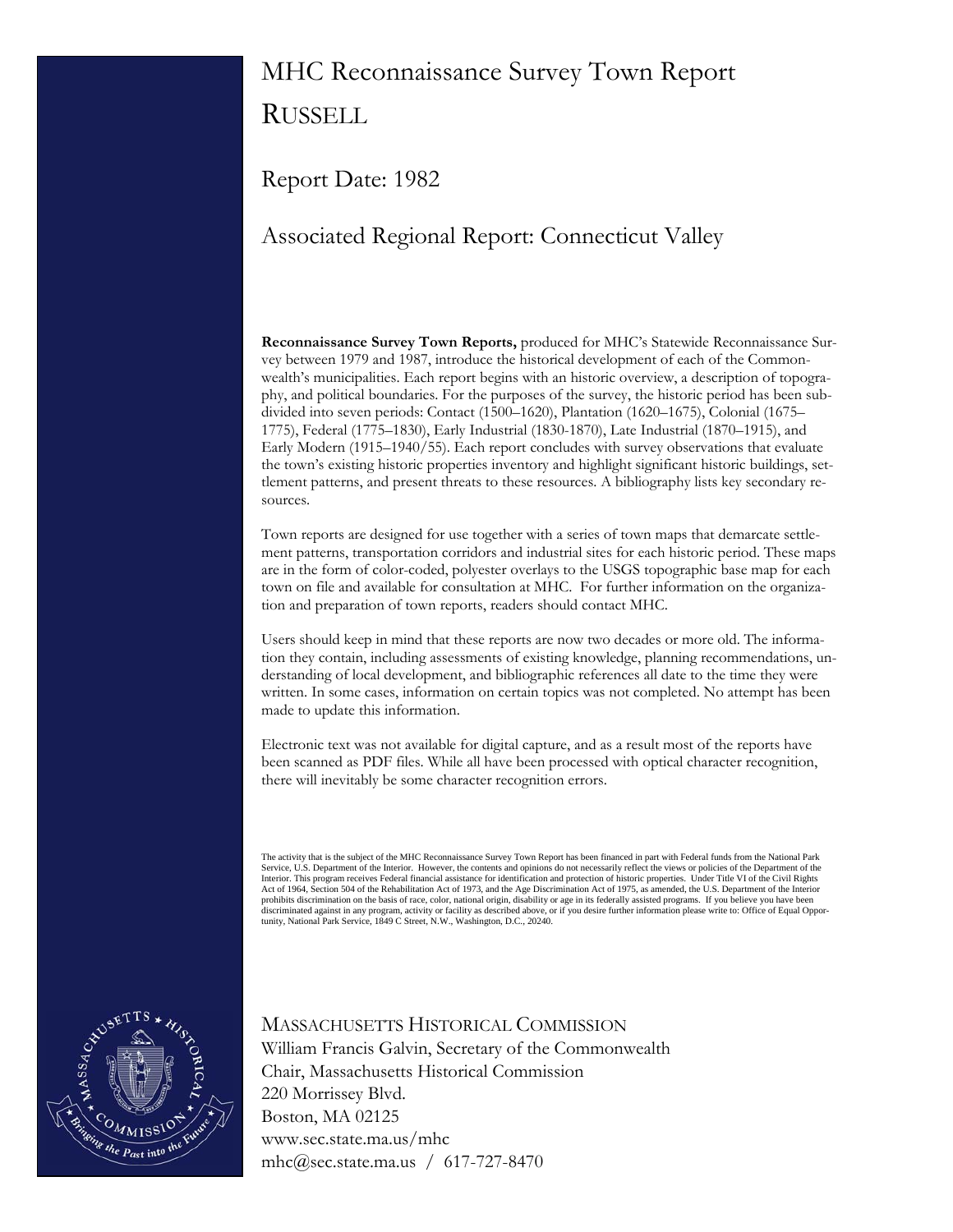# MHC Reconnaissance Survey Town Report RUSSELL

Report Date: 1982

# Associated Regional Report: Connecticut Valley

**Reconnaissance Survey Town Reports,** produced for MHC's Statewide Reconnaissance Survey between 1979 and 1987, introduce the historical development of each of the Commonwealth's municipalities. Each report begins with an historic overview, a description of topography, and political boundaries. For the purposes of the survey, the historic period has been subdivided into seven periods: Contact (1500–1620), Plantation (1620–1675), Colonial (1675– 1775), Federal (1775–1830), Early Industrial (1830-1870), Late Industrial (1870–1915), and Early Modern (1915–1940/55). Each report concludes with survey observations that evaluate the town's existing historic properties inventory and highlight significant historic buildings, settlement patterns, and present threats to these resources. A bibliography lists key secondary resources.

Town reports are designed for use together with a series of town maps that demarcate settlement patterns, transportation corridors and industrial sites for each historic period. These maps are in the form of color-coded, polyester overlays to the USGS topographic base map for each town on file and available for consultation at MHC. For further information on the organization and preparation of town reports, readers should contact MHC.

Users should keep in mind that these reports are now two decades or more old. The information they contain, including assessments of existing knowledge, planning recommendations, understanding of local development, and bibliographic references all date to the time they were written. In some cases, information on certain topics was not completed. No attempt has been made to update this information.

Electronic text was not available for digital capture, and as a result most of the reports have been scanned as PDF files. While all have been processed with optical character recognition, there will inevitably be some character recognition errors.

The activity that is the subject of the MHC Reconnaissance Survey Town Report has been financed in part with Federal funds from the National Park<br>Service, U.S. Department of the Interior. However, the contents and opinions Interior. This program receives Federal financial assistance for identification and protection of historic properties. Under Title VI of the Civil Rights Act of 1964, Section 504 of the Rehabilitation Act of 1973, and the Age Discrimination Act of 1975, as amended, the U.S. Department of the Interior<br>prohibits discrimination on the basis of race, color, national origin, dis discriminated against in any program, activity or facility as described above, or if you desire further information please write to: Office of Equal Oppor-<br>tunity, National Park Service, 1849 C Street, N.W., Washington, D.



# MASSACHUSETTS HISTORICAL COMMISSION William Francis Galvin, Secretary of the Commonwealth Chair, Massachusetts Historical Commission 220 Morrissey Blvd. Boston, MA 02125 www.sec.state.ma.us/mhc mhc@sec.state.ma.us / 617-727-8470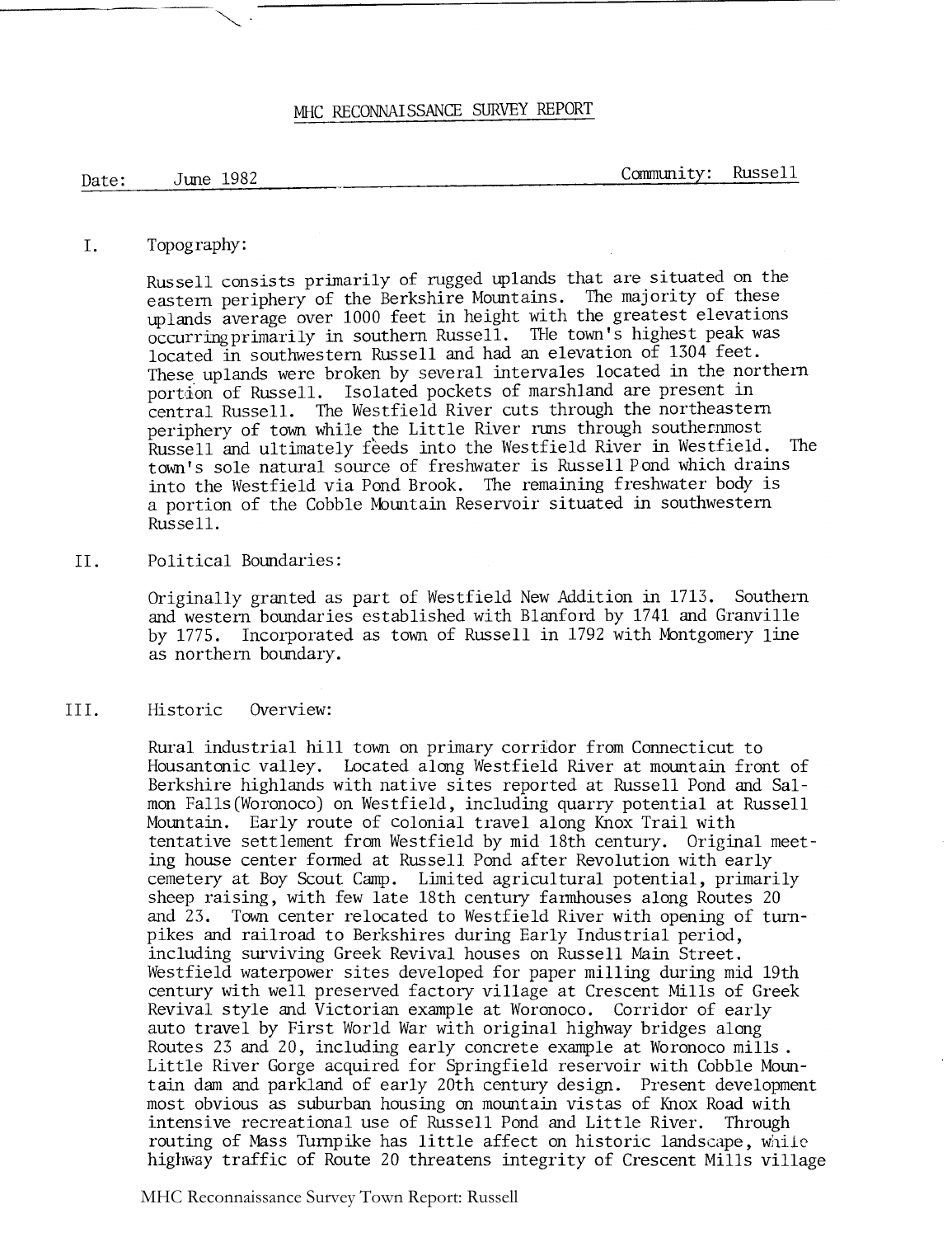## MHC RECONNAISSANCE SURVEY REPORT

Date: June 1982 Community: Russell

#### I. Topography:

Russell consists primarily of rugged uplands that are situated on the eastern periphery of the Berkshire Mountains. The majority of these uplands average over 1000 feet in height with the greatest elevations  $occurring primary$  in southern Russell. The town's highest peak was located in southwestern Russell and had an elevation of 1304 feet. These uplands were broken by several intervales located in the northern portion of Russell. Isolated pockets of marshland are present in central Russell. The Westfield River cuts through the northeastern periphery of town while the Little River runs through southernmost Russell and ultimately feeds into the Westfield River in Westfield. The town's sole natural source of freshwater is Russell Pond which drains into the Westfield via Pond Brook. The remaining freshwater body is a portion of the Cobble Mountain Reservoir situated in southwestern Russell.

11. Political Boundaries :

Originally granted as part of Westfield New Addition in 1713. Southern and western boundaries established with Blanford by 1741 and Granville by 1775. Incorporated as town of Russell in 1792 with Montgomery line as northern boundary.

111. Historic Overview:

Rural industrial hill town on primary corridor from Connecticut to Housantonic valley. Located along Westfield River at mountain front of Berkshire highlands with native sites reported at Russell Pond and Salmon Falls(Woronoco) on Westfield, including quarry potential at Russell Mountain. Early route of colonial travel along Knox Trail with tentative settlement from Westfield by mid 18th century. Original meeting house center formed at Russell Pond after Revolution with early cemetery at Boy Scout Camp. Limited agricultural potential, primarily sheep raising, with few late 18th century farmhouses along Routes 20 and 23. Town center relocated to Westfield River with opening of turnpikes and railroad to Berkshires during Early Industrial period, including surviving Greek Revival houses on Russell Main Street. Westfield waterpower sites developed for paper milling during mid 19th century with well preserved factory village at Crescent Mills of Greek Revival style and Victorian example at Woronoco. Corridor of early auto travel by First World War with original highway bridges along Routes 23 and 20, including early concrete example at Woronoco mills . Little River Gorge acquired for Springfield reservoir with Cobble Mountain dam and parkland of early 20th century design. Present development most obvious as suburban housing on motmtain vistas of Knox Road with intensive recreational use of Russell Pond and Little River. Through routing of Mass Turnpike has little affect on historic landscape, while highway traffic of Route 20 threatens integrity of Crescent Mills village

MHC Reconnaissance Survey Town Report: Russell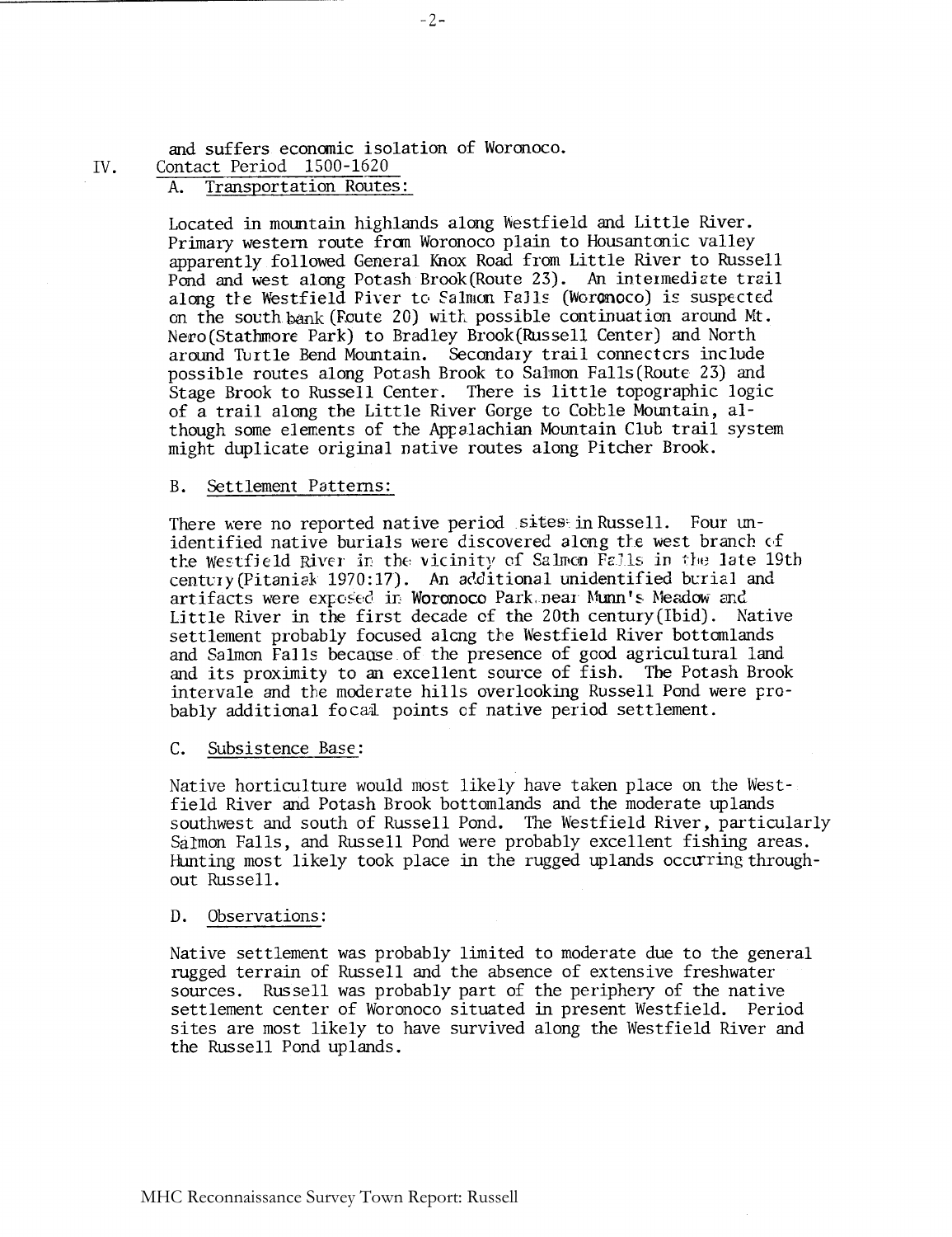and suffers economic isolation of Woronoco. IV. Contact Period 1500-1620

#### A. Transportation Routes :

Located in mountain highlands along Westfield and Little River. Primary western route from Woronoco plain to Housantmic valley apparently followed General Knox Road from Little River to Russell Pond and west along Potash Brook(Route 23). **An** intermediate trail along the Westfield Piver to Salmon Falls (Woronoco) is suspected on the south bank (Foute 20) with possible continuation around Mt. Nevo(Stathmore Park) to Bradley Brook(Russe1L Center) and North around Turtle Bend Mountain. Secondary trail connectcrs include possible routes along Potash Brook to Salmon Falls(Route 23) and Stage Brook to Russell Center. There is little topographic logic of a trail along the Little River Gorge to Cobble Mountain, although some elements of the Appalachian Mountain Club trail system might duplicate original native routes along Pitcher Brook.

#### B. Settlement Patterns:

There were no reported native period sites in Russell. Four unidentified native burials were discovered along the west branch of the Westfield River in the vicinity of Salmon Falls in the late 19th century (Pitanisk 1970: 17). An additional unidentified burial and artifacts were exposed in Woronoco Park. near Munn's Meadow and Little River in the first decade cf the 20th century(1bid). Native settlement probably focused alcng the Westfield River bottomlands and Salmon Falls because of the presence of good agricultural land and its proximity to an excellent source of fish. The Potash Brook intervale and the moderate hills overlooking Russell Pond were probably additional focal points of native period settlement.

#### C. Subsistence Base:

Native horticulture would most likely have taken place on the Westfield River and Potash Brook bottomlands and the moderate uplands southwest and south of Russell Pond. The Westfield River, particularly Salmon Falls, and Russell Pond were probably excellent fishing areas. Hunting most likely took place in the rugged uplands occurring throughout Russell.

#### D. Observations :

Native settlement was probably limited to moderate due to the general rugged terrain of Russell and the absence of extensive freshwater sources. Russell was probably part of the periphery of the native settlement center of Woronoco situated in present Westfield. Period sites are most likely to have survived along the Westfield River and the Russell Pond uplands.

 $-2-$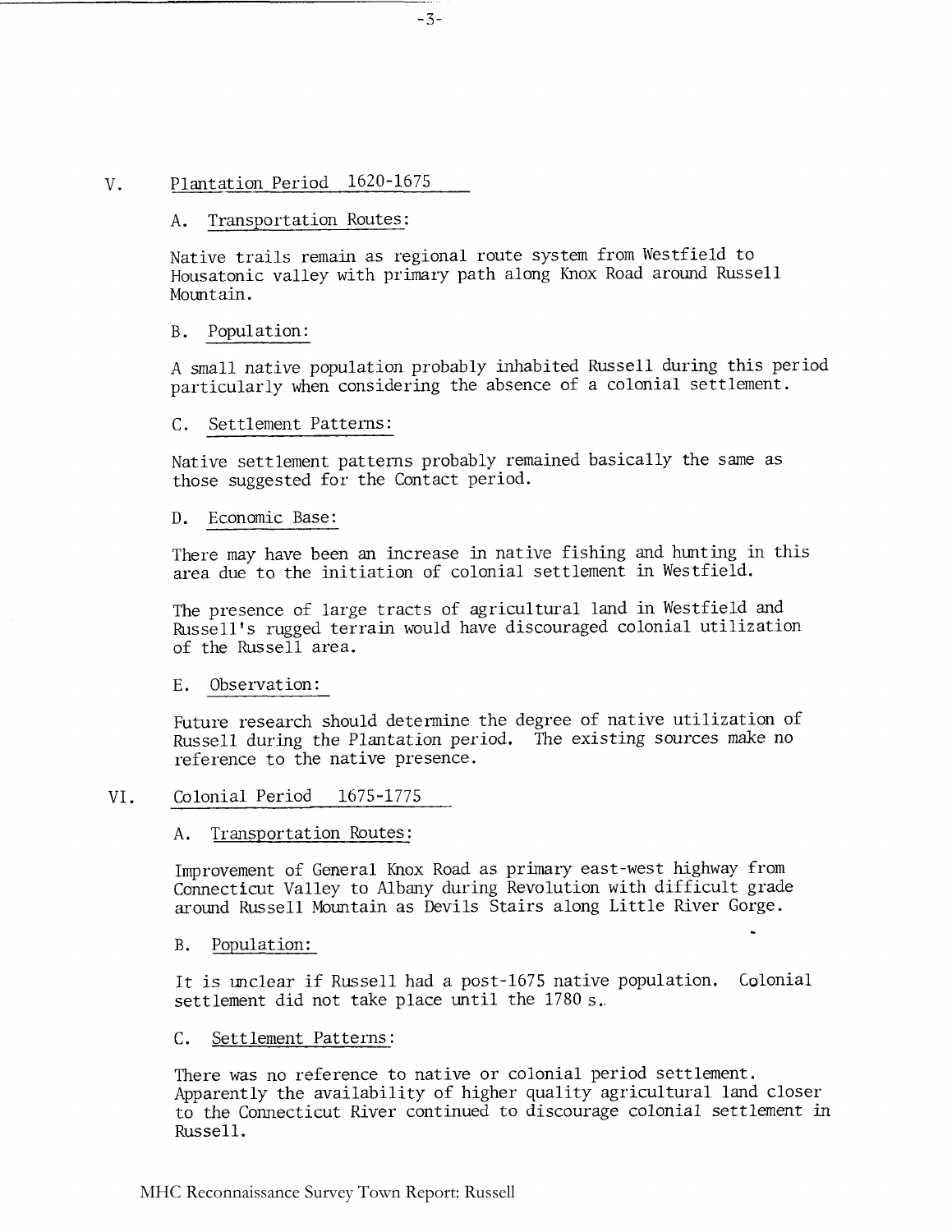#### Plantation Period 1620-1675  $V_{\star}$

#### A. Transportation Routes :

Native trails remain as regional route system from Westfield to Housatonic valley with primary path along Knox Road around Russell Mountain.

#### <sup>B</sup>. Population :

A small native population probably inhabited Russell during this period particularly when considering the absence of a colonial settlement.

#### C. Settlement Patterns:

Native settlement patterns probably remained basically the same as those suggested for the Contact period.

#### D. Economic Base:

There may have been an increase in native fishing and hunting in this area due to the initiation of colonial settlement in Westfield.

The presence of large tracts of agricultural land in Westfield and Russell's rugged terrain would have discouraged colonial utilization of the Russell area.

E. Observation:

Future research should determine the degree of native utilization of Russell during the Plantation period. The existing sources make no reference to the native presence.

#### VI. Colonial Period 1675-1775

#### A. Transportation Routes :

Improvement of General Knox Road as primary east-west highway from Connecticut Valley to Albany during Revolution with difficult grade around Russell Mountain as Devils Stairs along Little River Gorge.

#### B. Population:

It is unclear if Russell had a post-1675 native population. Colonial settlement did not take place until the 1780 s..

-

#### C. Settlement Patterns :

There was no reference to native or colonial period settlement. Apparently the availability of higher quality agricultural land closer to the Connecticut River continued to discourage colonial settlement in Russell.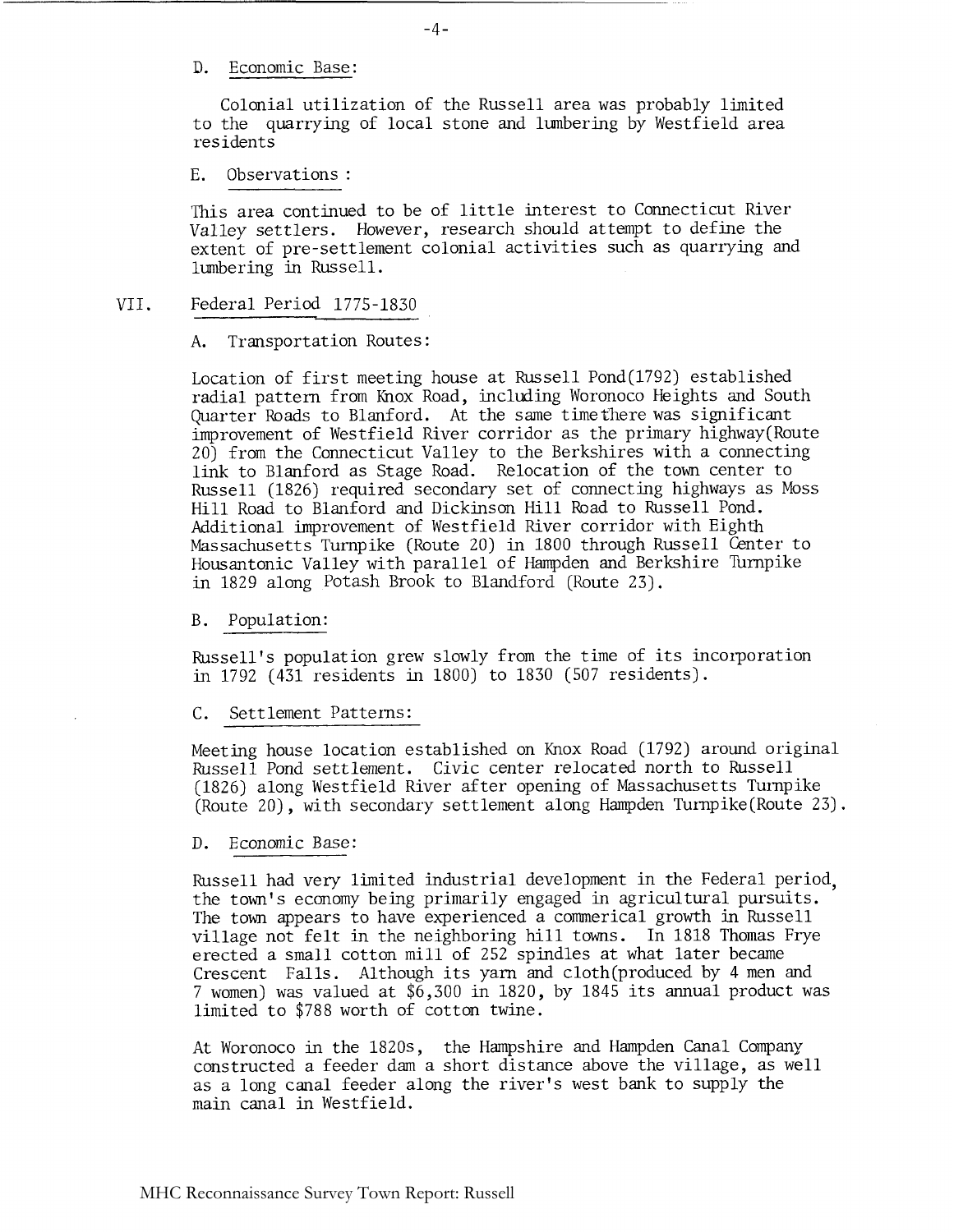D. Economic Base:

Colonial utilization of the Russell area was probably limited to the quarrying of local stone and lumbering by Westfield area res idents

E. Observations :

This area continued to be of little interest to Connecticut River Valley settlers. However, research should attempt to define the extent of pre-settlement colonial activities such as quarrying and lumbering in Russell. Festaents<br>
E. Observations :<br>
This area continued to be<br>
Valley settlers. However,<br>
extent of pre-settlement c<br>
lumbering in Russell.<br>
VII. Federal Period 1775-1830<br>
A. Transportation Routes:

A. Transportation Routes:

Location of first meeting house at Russell Pond(1792) established radial pattern from Knox Road, including Woronoco Heights and South Quarter Roads to Blanford. At the same timethere was significant improvement of Westfield River corridor as the primary highway(Route 20) from the Connecticut Valley to the Berkshires with a connecting link to Blanford as Stage Road. Relocation of the town center to Russell (1826) required secondary set of connecting highways as Moss Hill Road to Blanford and Dickinson Hill Road to Russell Pond. Additional improvement of Westfield River corridor with Eighth Massachusetts Turnpike (Route 20) in 1800 through Russell Center to Housantonic Valley with parallel of Hampden and Berkshire Turnpike in 1829 along Potash Brook to Blandford (Route 23).

<sup>B</sup>. Population:

Russell's population grew slowly from the time of its incorporation in 1792 (431 residents in 1800) to 1830 (507 residents).

C. Settlement Patterns:

Meeting house location established on Knox Road (1792) around original Russell Pond settlement. Civic center relocated north to Russell (1826) along Westfield River after opening of Massachusetts Turnpike (Route 20), with secondary settlement along Hampden Turnpike(Route 23).

D. Economic Base:

Russell had very limited industrial development in the Federal period, the town's economy being primarily engaged in agricultural pursuits. The town appears to have experienced a commerical growth in Russell village not felt in the neighboring hill towns. In 1818 Thomas Frye erected a small cotton mill of 252 spindles at what later became Crescent Falls. Although its yarn and cloth(produced by 4 men and 7 women) was valued at \$6,300 in 1820, by 1845 its annual product was limited to \$788 worth of cotton twine.

At Woronoco in the 1820s, the Hampshire and Hampden Canal Company constructed a feeder dam a short distance above the village, as well as a long canal feeder along the river's west bank to supply the main canal in Westfield.

 $-4-$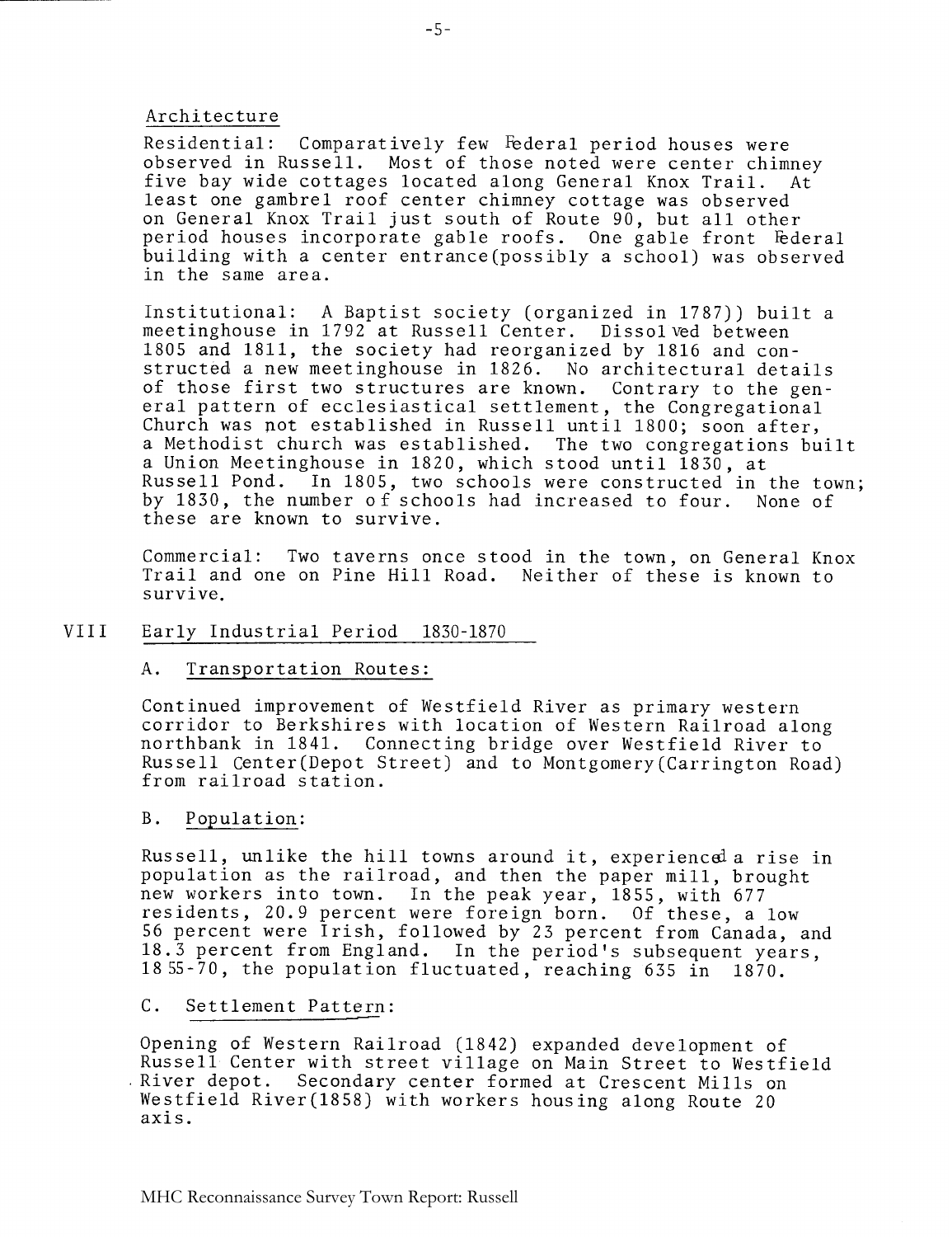#### Architecture

Residential: Comparatively few Federal period houses were observed in Russell. Most of those noted were center chimney five bay wide cottages located along General Knox Trail. At least one gambrel roof center chimney cottage was observed on General Knox Trail just south of Route 90, but all other period houses incorporate gable roofs. One gable front Federal building with a center entrance(possib1y a school) was observed in the same area.

Institutional: A Baptist society (organized in 1787)) built a meetinghouse in 1792 at Russell Center. Dissolved between 1805 and 1811, the society had reorganized by 1816 and constructed a new meetinghouse in 1826. No architectural details of those first two structures are known. Contrary to the general pattern of ecclesiastical settlement, the Congregational Church was pot established in Russell until 1800; soon after, a Methodist church was established. The two congregations built a Union Meetinghouse in 1820, which stood until 1830, at<br>Russell Pond. In 1805, two schools were constructed in In 1805, two schools were constructed in the town; by 1830, the number of schools had increased to four. None of these are known to survive.

Commercial: Two taverns once stood in the town, on General Knox Trail and one on Pine Hill Road. Neither of these is known to survive.

#### VIII Early Industrial Period 1830-1870

#### A. Transportation Routes:

Continued improvement of Westfield River as primary western corridor to Berkshires with location of Western Railroad along northbank in 1841. Connecting bridge over Westfield River to Russell Center(Depot Street) and to Montgomery(Carrington Road) from railroad station.

#### B. Population:

Russell, unlike the hill towns around it, experiencda rise in population as the railroad, and then the paper mill, brought new workers into town. In the peak year, 1855, with 677 residents, 20.9 percent were foreign born. Of these, a low 56 percent were Irish, followed by 23 percent from Canada, and 18.3 percent from England. In the period's subsequent years, 1855-70, the population fluctuated, reaching 635 in 1870.

#### C. Settlement Pattern:

Opening of Western Railroad (1842) expanded development of Russell Center with street village on Main Street to Westfield River depot. Secondary center formed at Crescent Mills on Westfield River (1858) with workers housing along Route 20 axis.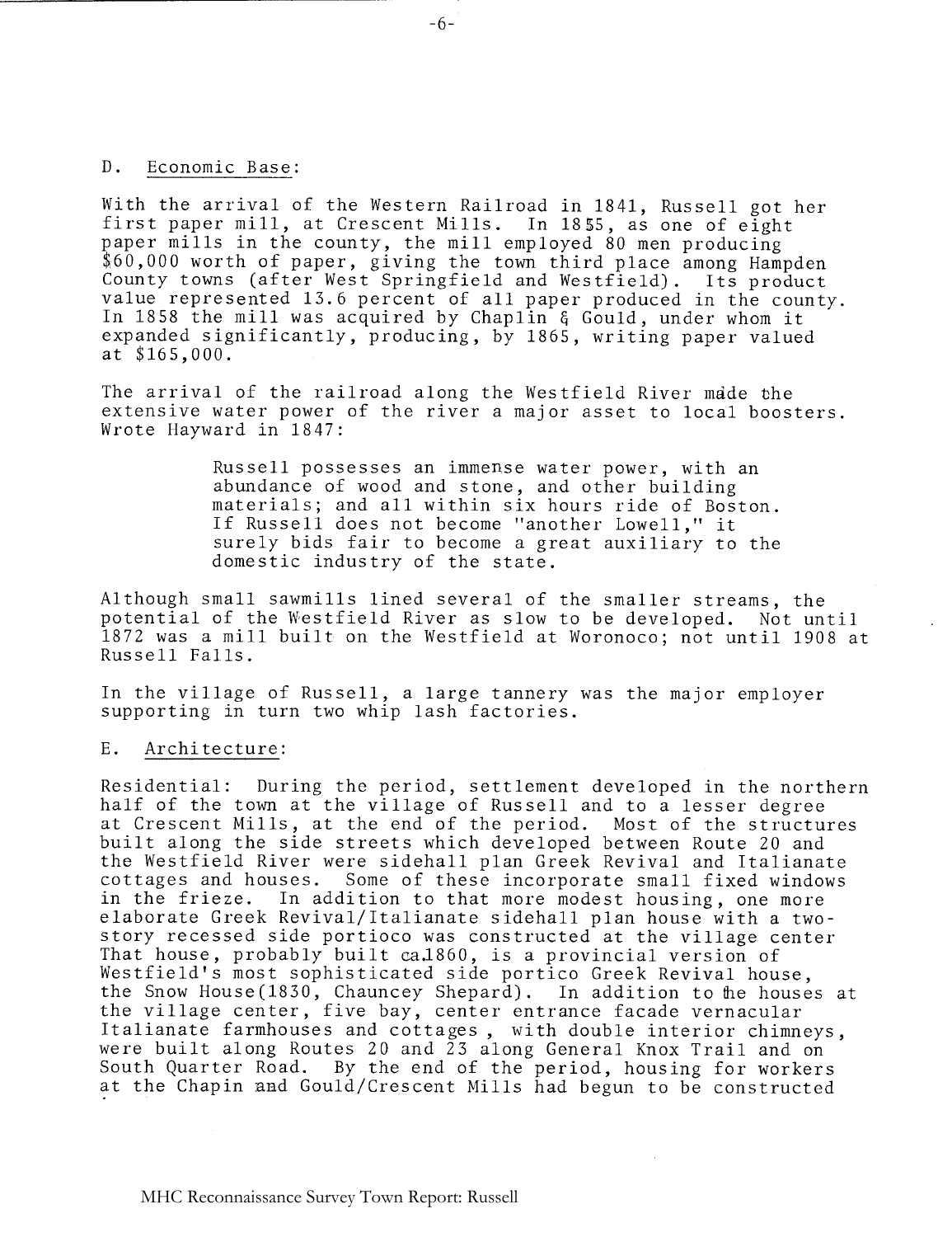#### D. Economic Base:

With the arrival of the Western Railroad in 1841, Russell got her first paper mill, at Crescent Mills. In 1855, as one of eight paper mills in the county, the mill employed 80 men producing \$60,000 worth of paper, giving the town third place among Hampden County towns (after West Springfield and Westfield). Its product value represented 13.6 percent of all paper produced in the county. In 1858 the mill was acquired by Chaplin *6* Gould, under whom it expanded significantly, producing, by 1865, writing paper valued at \$165,000.

The arrival of the railroad along the Westfield River made the extensive water power of the river a major asset to local boosters. Wrote Hayward in 1847:

> Russell possesses an immense water power, with an abundance of wood and stone, and other building materials; and all within six hours ride of Boston. If Russell does not become "another Lowell," it surely bids fair to become a great auxiliary to the domestic industry of the state.

Although small sawmills lined several of the smaller streams, the potential of the Westfield River as slow to be developed. Not until 1872 was a mill built on the Westfield at Woronoco; not until 1908 at Russell Falls.

In the village of Russell, a large tannery was the major employer supporting in turn two whip lash factories.

#### E. Architecture:

Residential: During the period, settlement developed in the northern half of the town at the village of Russell and to a lesser degree at Crescent Mills, at the end of the period. Most of the structures built along the side streets which developed between Route 20 and the Westfield River were sidehall plan Greek Revival and Italianate<br>cottages and houses. Some of these incorporate small fixed windows cottages and houses. Some of these incorporate small fixed windows In addition to that more modest housing, one more elaborate Greek Revival/Italianate sidehall plan house with a twostory recessed side portioco was constructed at the village center That house, probably built ca.1860, is a provincial version of Westfield's most sophisticated side portico Greek Revival house, the Snow House(1830, Chauncey Shepard). In addition to the houses at the village center, five bay, center entrance facade vernacular Italianate farmhouses and cottages, with double interior chimneys, were built along Routes 20 and 23 along General Knox Trail and on South Quarter Road. By the end of the period, housing for workers at the Chapin and Gould/Crescent Mills had begun to be constructed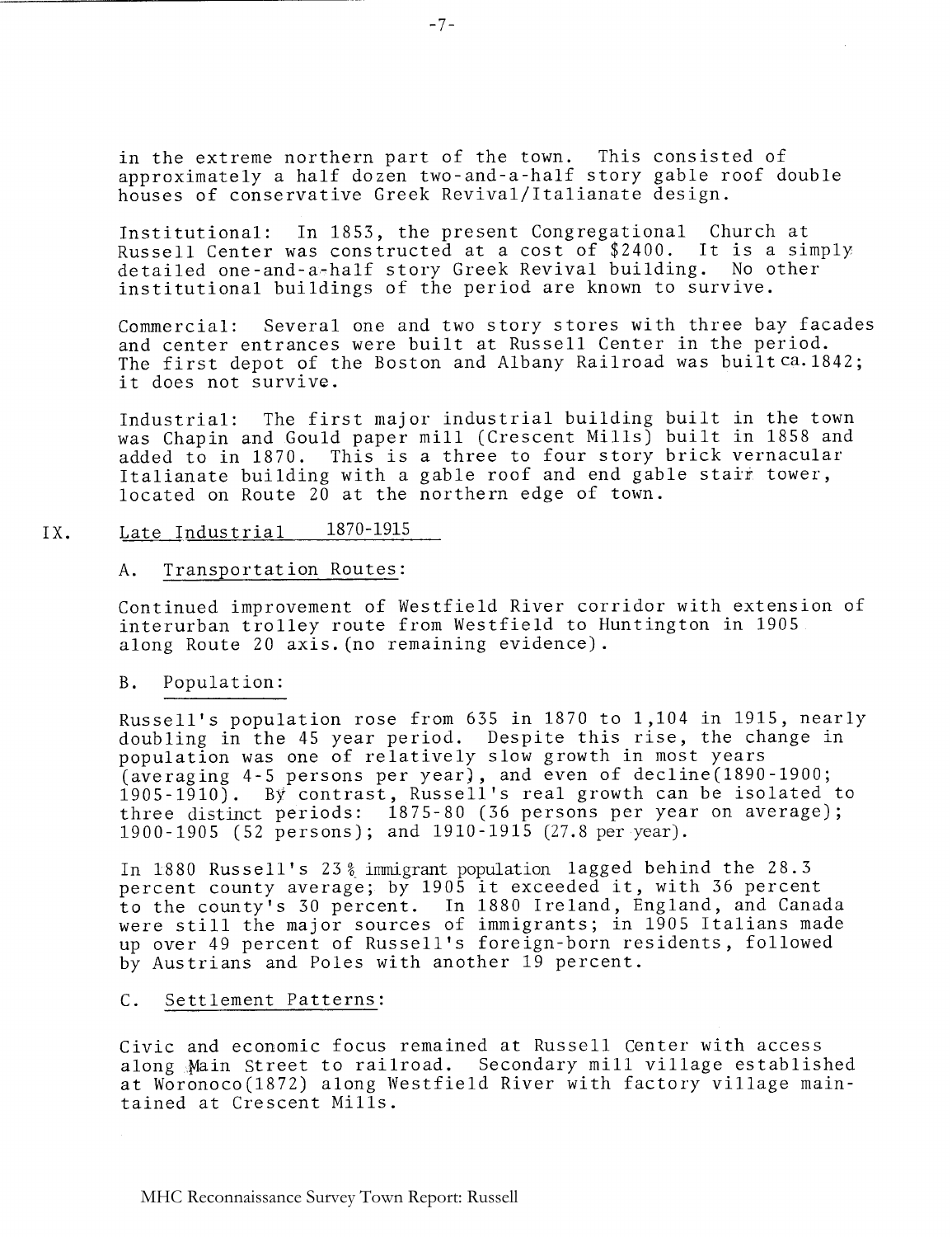in the extreme northern part of the town. This consisted of approximately a half dozen two-and-a-half story gable roof double houses of conservative Greek Revival/Italianate design.

Institutional: In 1853, the present Congregational Church at Russell Center was constructed at a cost of \$2400. It is a simply detailed one-and-a-half story Greek Revival building. No other institutional buildings of the period are known to survive.

Commercial: Several one and two story stores with three bay facades and center entrances were built at Russell Center in the period. The first depot of the Boston and Albany Railroad was builtca.1842; it does not survive.

Industrial: The first major industrial building built in the town was Chapin and Gould paper mill (Crescent Mills) built in 1858 and added to in 1870. This is a three to four story brick vernacular Italianate building with a gable roof and end gable stair tower, located on Route 20 at the northern edge of town.

## IX. Late Industrial 1870-1915

#### A. Transportation Routes:

Continued improvement of Westfield River corridor with extension of interurban trolley route from Westfield to Huntington in 1905 along Route 20 axis. (no remaining evidence).

#### B. Population:

Russell's population rose from 635 in 1870 to 1,104 in 1915, nearly doubling in the 45 year period. Despite this rise, the change in population was one of relatively slow growth in most years (averaging 4-5 persons per year), and even of decline(1890-1900; 1905-1910). By contrast, Russell's real growth can be isolated to three distinct periods: 1875-80 (36 persons per year on average); 1900-1905 (52 persons) ; and 1910-1915 (27.8 per year).

In 1880 Russell's 23 % inmigrant population lagged behind the 28.3 percent county average; by 1905 it exceeded it, with 36 percent to the county's 30 percent. In 1880 Ireland, England, and Canada were still the major sources of immigrants; in 1905 Italians made up over 49 percent of Russell's foreign-born residents, followed by Austrians and Poles with another 19 percent.

## C. Settlement Patterns :

Civic and economic focus remained at Russell Center with access along Main Street to railroad. Secondary mill village established at Woronoco(1872) along Westfield River with factory village maintained at Crescent Mills.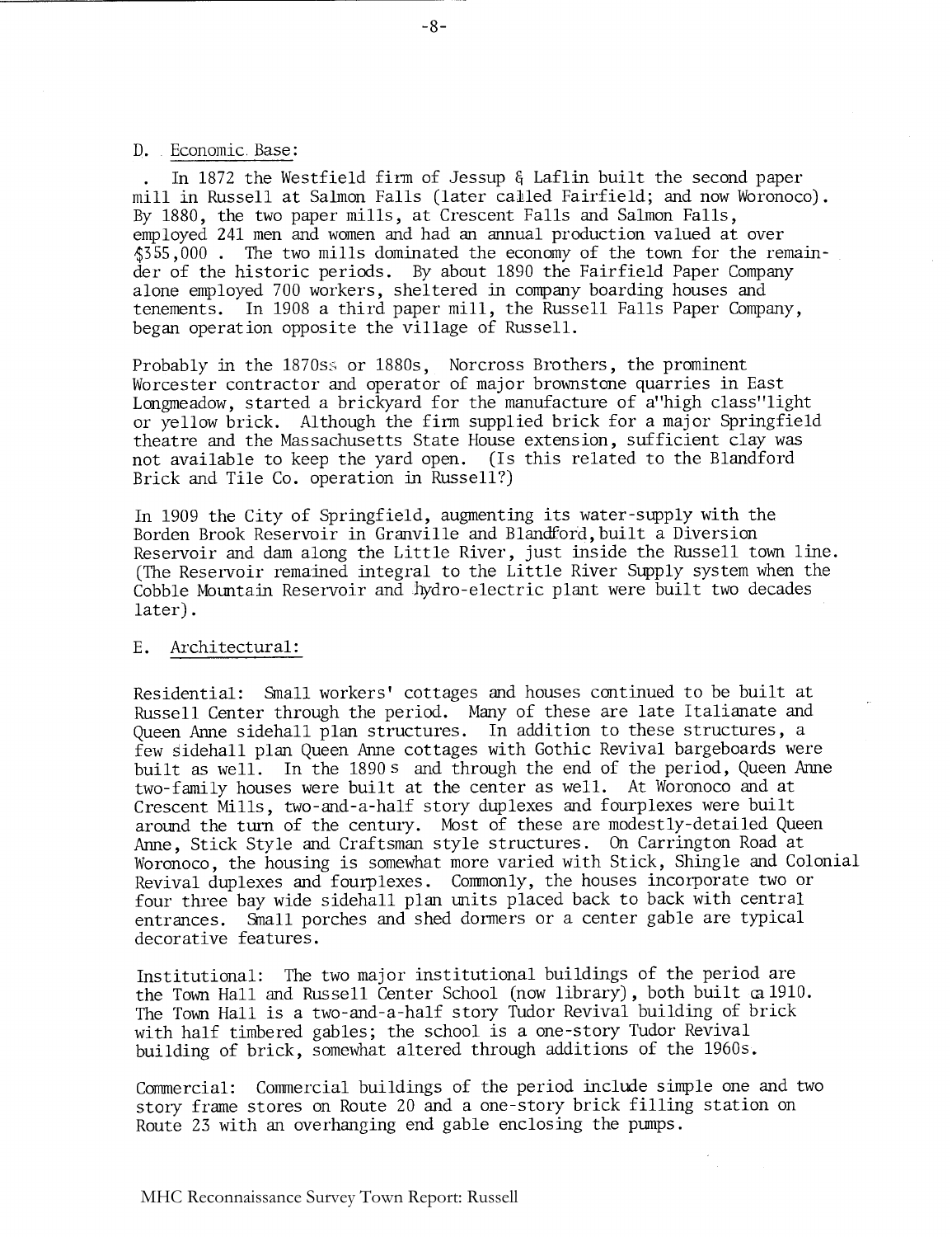D. Economic Base:

. In 1872 the Westfield firm of Jessup 6 Laflin built the second paper mill in Russell at Salmon Falls (later called Fairfield; and now Woronoco). By 1880, the two paper mills, at Crescent Falls and Salmon Falls, employed 241 men and women and had an annual production valued at over \$355,000 . The two mills dominated the economy of the town for the remainder of the historic periods. By about 1890 the Fairfield Paper Company alone employed 700 workers, sheltered in company boarding houses and tenements. In 1908 a third paper mill, the Russell Falls Paper Company, began operation opposite the village of Russell.

Probably in the 1870ss or 1880s, Norcross Brothers, the prominent Worcester contractor and operator of major brownstone quarries in East Longmeadow, started a brickyard for the manufacture of a"high class"light or yellow brick. Although the firm supplied brick for a major Springfield theatre and the Massachusetts State House extension, sufficient clay was not available to keep the yard open. (Is this related to the Blandford Brick and Tile Co. operation in Russell?)

In 1909 the City of Springfield, augmenting its water-supply with the Borden Brook Reservoir in Granville and Blandford, built a Diversion Reservoir and dam along the Little River, just inside the Russell town line. (The Reservoir remained integral to the Little River Supply system when the Cobble Mountain Reservoir and hydro-electric plant were built two decades later).

#### E. Architectural :

Residential: Small workers' cottages and houses continued to be built at Russell Center through the period. Many of these are late Italianate and Queen Anne sidehall plan structures. In addition to these structures, a few Sidehall plan Queen Anne cottages with Gothic Revival bargeboards were built as well. In the 1890s and through the end of the period, Queen Anne two-family houses were built at the center as well. At Woronoco and at Crescent Mills, two-and-a-half story duplexes and fourplexes were built around the turn of the century. Most of these are modestly-detailed Queen Anne, Stick Style and Craftsman style structures. On Carrington Road at Woronoco, the housing is somewhat more varied with Stick, Shingle and Colonial Revival duplexes and fourplexes. Commonly, the houses incorporate two or four three bay wide sidehall plan units placed back to back with central entrances. Small porches and shed dormers or a center gable are typical decorative features.

Institutional: The two major institutional buildings of the period are the Town Hall and Russell Center School (now library) , both built a 1910. The Town Hall is a two-and-a-half story Tudor Revival building of brick with half timbered gables; the school is a one-story Tudor Revival building of brick, somewhat altered through additions of the 1960s.

Commercial: Commercial buildings of the period include simple one and two story frame stores on Route 20 and a one-story brick filling station on Route 23 with an overhanging end gable enclosing the pumps.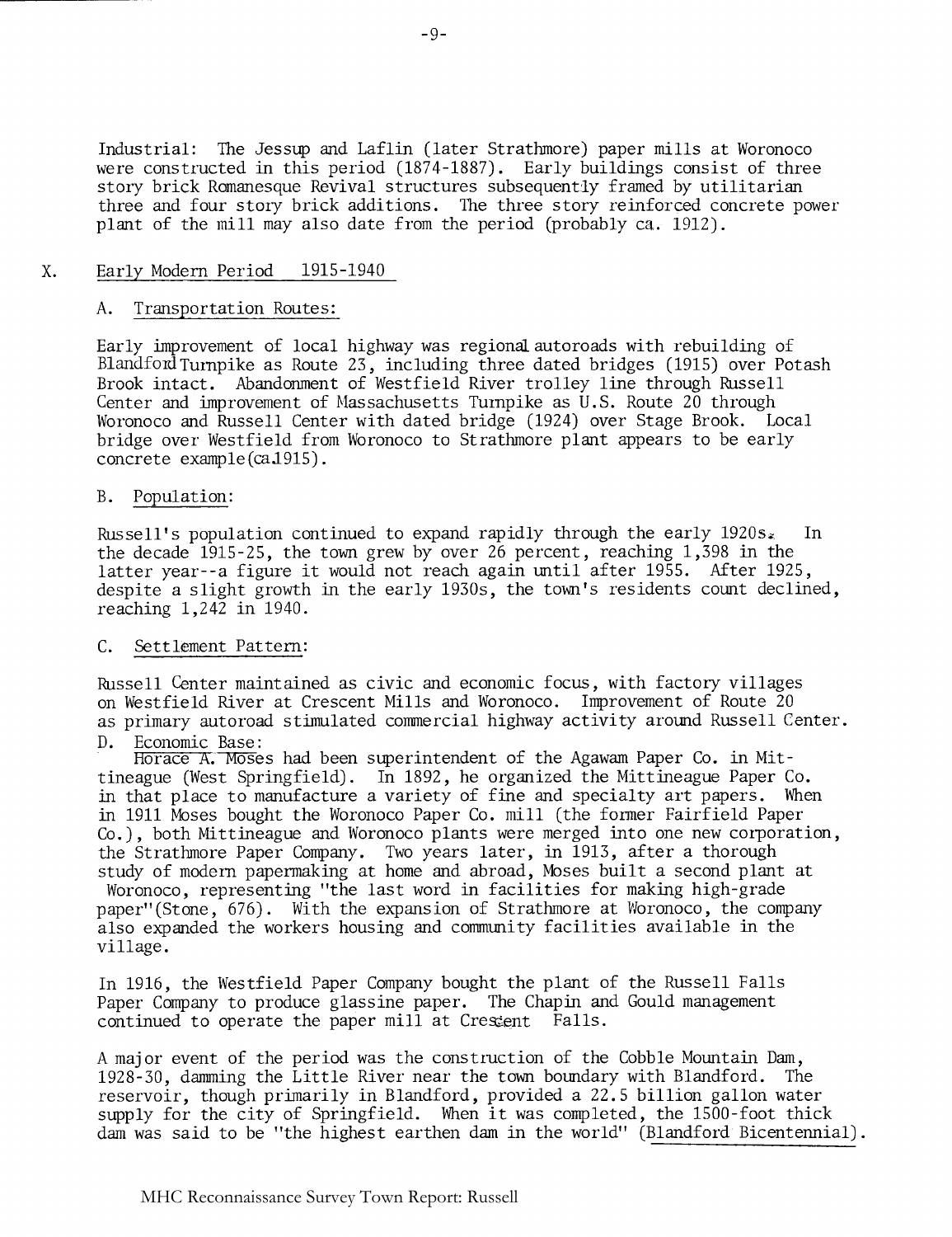Industrial: The Jessup and Laflin (later Strathmore) paper mills at Woronoco were constructed in this period (1874-1887). Early buildings consist of three story brick Romanesque Revival structures subsequently framed by utilitarian three and four story brick additions. The three story reinforced concrete power plant of the mill may also date from the period (probably ca. 1912).

#### $X_{\bullet}$ Early Modern Period 1915-1940

#### A. Transportation Routes:

Early improvement of local highway was regionalautoroads with rebuilding of Blandford Turnpike as Route 23, including three dated bridges (1915) over Potash Brook intact. Abandonment of Westfield River trolley line through Russell Center and improvement of Massachusetts Turnpike as U.S. Route  $20$  through Woronoco and Russell Center with dated bridge (1924) over Stage Brook. Local bridge over Westfield from Woronoco to Strathmore plant appears to be early concrete example (caJ915) .

#### B. Population:

Russell's population continued to expand rapidly through the early  $1920s_*$  In the decade 1915-25, the town grew by over 26 percent, reaching 1,398 in the latter year--a figure it would not reach again until after 1955. After 1925, despite a slight growth in the early 1930s, the town's residents count declined, reaching 1,242 in 1940.

#### C. Settlement Pattern:

Russell Center maintained as civic and economic focus, with factory villages on Westfield River at Crescent Mills and Woronoco. Improvement of Route 20 as primary autoroad stimulated commercial highway activity around Russell Center. D. Economic Base:

Horace A.Moses had been superintendent of the Agawam Paper Co. in Mittineague (West Springfield). In 1892, he organized the Mittineague Paper Co. in that place to manufacture a variety of fine and specialty art papers. When in 1911 Moses bought the Woronoco Paper Co. mill (the former Fairfield Paper Co.), both Mittineague and Woronoco plants were merged into one new corporation, the Strathmore Paper Company. Two years later, in 1913, after a thorough study of modern papermaking at home and abroad, Moses built a second plant at Woronoco, representing "the last word in facilities for making high-grade paper" (Stone, 676). With the expansion of Strathmore at Woronoco, the company also expanded the workers housing and community facilities available in the village.

In 1916, the Westfield Paper Company bought the plant of the Russell Falls Paper Company to produce glassine paper. The Chapin and Gould management continued to operate the paper mill at Crestent Falls.

A major event of the period was the construction of the Cobble Mountain Dam, 1928-30, damming the Little River near the town boundary with Blandford. The reservoir, though primarily in Blandford, provided a 22.5 billion gallon water supply for the city of Springfield. When it was completed, the 1500-foot thick dam was said to be "the highest earthen dam in the world" (Blandford Bicentennial).